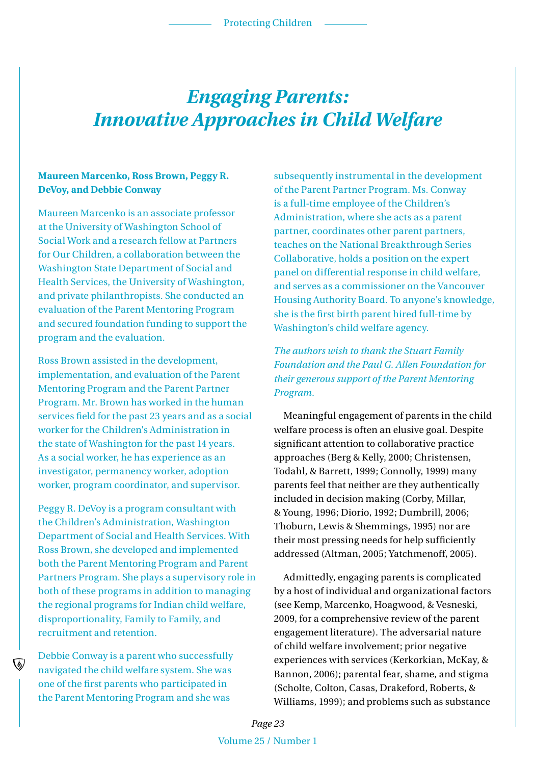### *Engaging Parents: Innovative Approaches in Child Welfare*

#### **Maureen Marcenko, Ross Brown, Peggy R. DeVoy, and Debbie Conway**

Maureen Marcenko is an associate professor at the University of Washington School of Social Work and a research fellow at Partners for Our Children, a collaboration between the Washington State Department of Social and Health Services, the University of Washington, and private philanthropists. She conducted an evaluation of the Parent Mentoring Program and secured foundation funding to support the program and the evaluation.

Ross Brown assisted in the development, implementation, and evaluation of the Parent Mentoring Program and the Parent Partner Program. Mr. Brown has worked in the human services field for the past 23 years and as a social worker for the Children's Administration in the state of Washington for the past 14 years. As a social worker, he has experience as an investigator, permanency worker, adoption worker, program coordinator, and supervisor.

Peggy R. DeVoy is a program consultant with the Children's Administration, Washington Department of Social and Health Services. With Ross Brown, she developed and implemented both the Parent Mentoring Program and Parent Partners Program. She plays a supervisory role in both of these programs in addition to managing the regional programs for Indian child welfare, disproportionality, Family to Family, and recruitment and retention.

Debbie Conway is a parent who successfully navigated the child welfare system. She was one of the first parents who participated in the Parent Mentoring Program and she was

subsequently instrumental in the development of the Parent Partner Program. Ms. Conway is a full-time employee of the Children's Administration, where she acts as a parent partner, coordinates other parent partners, teaches on the National Breakthrough Series Collaborative, holds a position on the expert panel on differential response in child welfare, and serves as a commissioner on the Vancouver Housing Authority Board. To anyone's knowledge, she is the first birth parent hired full-time by Washington's child welfare agency.

*The authors wish to thank the Stuart Family Foundation and the Paul G. Allen Foundation for their generous support of the Parent Mentoring Program.*

Meaningful engagement of parents in the child welfare process is often an elusive goal. Despite significant attention to collaborative practice approaches (Berg & Kelly, 2000; Christensen, Todahl, & Barrett, 1999; Connolly, 1999) many parents feel that neither are they authentically included in decision making (Corby, Millar, & Young, 1996; Diorio, 1992; Dumbrill, 2006; Thoburn, Lewis & Shemmings, 1995) nor are their most pressing needs for help sufficiently addressed (Altman, 2005; Yatchmenoff, 2005).

Admittedly, engaging parents is complicated by a host of individual and organizational factors (see Kemp, Marcenko, Hoagwood, & Vesneski, 2009, for a comprehensive review of the parent engagement literature). The adversarial nature of child welfare involvement; prior negative experiences with services (Kerkorkian, McKay, & Bannon, 2006); parental fear, shame, and stigma (Scholte, Colton, Casas, Drakeford, Roberts, & Williams, 1999); and problems such as substance

*Page 23* Volume 25 / Number 1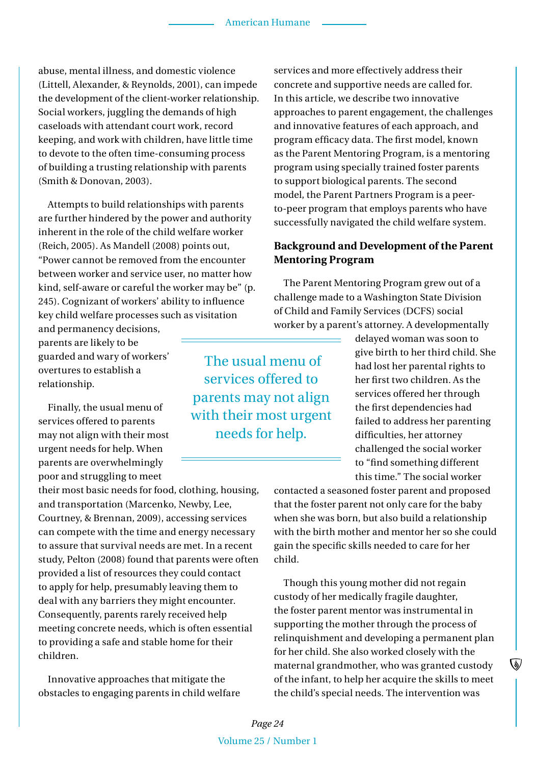abuse, mental illness, and domestic violence (Littell, Alexander, & Reynolds, 2001), can impede the development of the client-worker relationship. Social workers, juggling the demands of high caseloads with attendant court work, record keeping, and work with children, have little time to devote to the often time-consuming process of building a trusting relationship with parents (Smith & Donovan, 2003).

Attempts to build relationships with parents are further hindered by the power and authority inherent in the role of the child welfare worker (Reich, 2005). As Mandell (2008) points out, "Power cannot be removed from the encounter between worker and service user, no matter how kind, self-aware or careful the worker may be" (p. 245). Cognizant of workers' ability to influence key child welfare processes such as visitation

and permanency decisions, parents are likely to be guarded and wary of workers' overtures to establish a relationship.

Finally, the usual menu of services offered to parents may not align with their most urgent needs for help. When parents are overwhelmingly poor and struggling to meet

their most basic needs for food, clothing, housing, and transportation (Marcenko, Newby, Lee, Courtney, & Brennan, 2009), accessing services can compete with the time and energy necessary to assure that survival needs are met. In a recent study, Pelton (2008) found that parents were often provided a list of resources they could contact to apply for help, presumably leaving them to deal with any barriers they might encounter. Consequently, parents rarely received help meeting concrete needs, which is often essential to providing a safe and stable home for their children.

Innovative approaches that mitigate the obstacles to engaging parents in child welfare services and more effectively address their concrete and supportive needs are called for. In this article, we describe two innovative approaches to parent engagement, the challenges and innovative features of each approach, and program efficacy data. The first model, known as the Parent Mentoring Program, is a mentoring program using specially trained foster parents to support biological parents. The second model, the Parent Partners Program is a peerto-peer program that employs parents who have successfully navigated the child welfare system.

#### **Background and Development of the Parent Mentoring Program**

The Parent Mentoring Program grew out of a challenge made to a Washington State Division of Child and Family Services (DCFS) social worker by a parent's attorney. A developmentally

 The usual menu of services offered to parents may not align with their most urgent needs for help.

delayed woman was soon to give birth to her third child. She had lost her parental rights to her first two children. As the services offered her through the first dependencies had failed to address her parenting difficulties, her attorney challenged the social worker to "find something different this time." The social worker

contacted a seasoned foster parent and proposed that the foster parent not only care for the baby when she was born, but also build a relationship with the birth mother and mentor her so she could gain the specific skills needed to care for her child.

Though this young mother did not regain custody of her medically fragile daughter, the foster parent mentor was instrumental in supporting the mother through the process of relinquishment and developing a permanent plan for her child. She also worked closely with the maternal grandmother, who was granted custody of the infant, to help her acquire the skills to meet the child's special needs. The intervention was

▧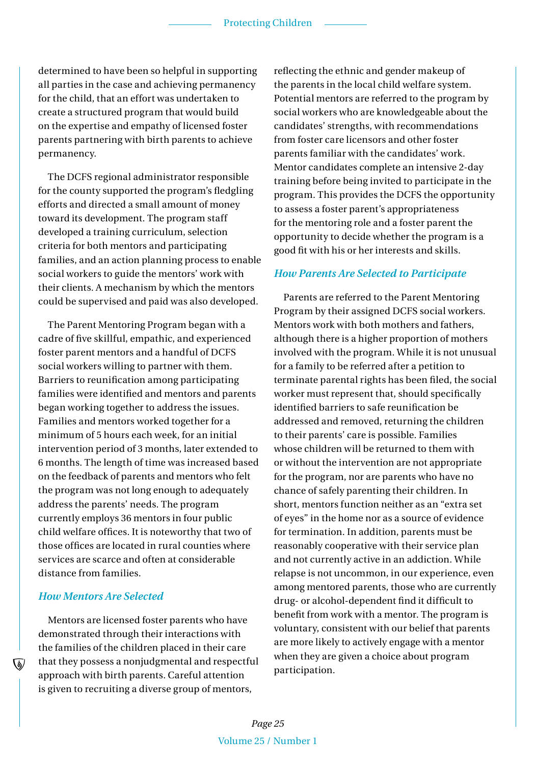determined to have been so helpful in supporting all parties in the case and achieving permanency for the child, that an effort was undertaken to create a structured program that would build on the expertise and empathy of licensed foster parents partnering with birth parents to achieve permanency.

The DCFS regional administrator responsible for the county supported the program's fledgling efforts and directed a small amount of money toward its development. The program staff developed a training curriculum, selection criteria for both mentors and participating families, and an action planning process to enable social workers to guide the mentors' work with their clients. A mechanism by which the mentors could be supervised and paid was also developed.

The Parent Mentoring Program began with a cadre of five skillful, empathic, and experienced foster parent mentors and a handful of DCFS social workers willing to partner with them. Barriers to reunification among participating families were identified and mentors and parents began working together to address the issues. Families and mentors worked together for a minimum of 5 hours each week, for an initial intervention period of 3 months, later extended to 6 months. The length of time was increased based on the feedback of parents and mentors who felt the program was not long enough to adequately address the parents' needs. The program currently employs 36 mentors in four public child welfare offices. It is noteworthy that two of those offices are located in rural counties where services are scarce and often at considerable distance from families.

#### *How Mentors Are Selected*

Mentors are licensed foster parents who have demonstrated through their interactions with the families of the children placed in their care that they possess a nonjudgmental and respectful approach with birth parents. Careful attention is given to recruiting a diverse group of mentors,

reflecting the ethnic and gender makeup of the parents in the local child welfare system. Potential mentors are referred to the program by social workers who are knowledgeable about the candidates' strengths, with recommendations from foster care licensors and other foster parents familiar with the candidates' work. Mentor candidates complete an intensive 2-day training before being invited to participate in the program. This provides the DCFS the opportunity to assess a foster parent's appropriateness for the mentoring role and a foster parent the opportunity to decide whether the program is a good fit with his or her interests and skills.

#### *How Parents Are Selected to Participate*

Parents are referred to the Parent Mentoring Program by their assigned DCFS social workers. Mentors work with both mothers and fathers, although there is a higher proportion of mothers involved with the program. While it is not unusual for a family to be referred after a petition to terminate parental rights has been filed, the social worker must represent that, should specifically identified barriers to safe reunification be addressed and removed, returning the children to their parents' care is possible. Families whose children will be returned to them with or without the intervention are not appropriate for the program, nor are parents who have no chance of safely parenting their children. In short, mentors function neither as an "extra set of eyes" in the home nor as a source of evidence for termination. In addition, parents must be reasonably cooperative with their service plan and not currently active in an addiction. While relapse is not uncommon, in our experience, even among mentored parents, those who are currently drug- or alcohol-dependent find it difficult to benefit from work with a mentor. The program is voluntary, consistent with our belief that parents are more likely to actively engage with a mentor when they are given a choice about program participation.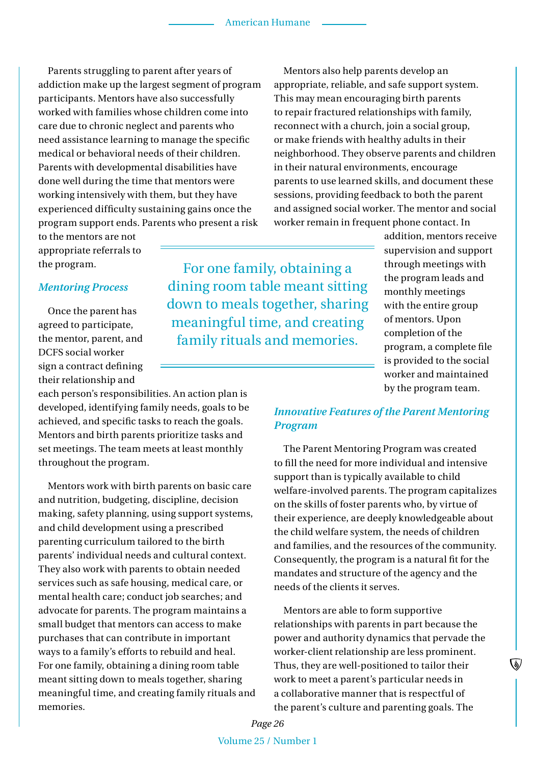Parents struggling to parent after years of addiction make up the largest segment of program participants. Mentors have also successfully worked with families whose children come into care due to chronic neglect and parents who need assistance learning to manage the specific medical or behavioral needs of their children. Parents with developmental disabilities have done well during the time that mentors were working intensively with them, but they have experienced difficulty sustaining gains once the program support ends. Parents who present a risk

to the mentors are not appropriate referrals to the program.

#### *Mentoring Process*

Once the parent has agreed to participate, the mentor, parent, and DCFS social worker sign a contract defining their relationship and

each person's responsibilities. An action plan is developed, identifying family needs, goals to be achieved, and specific tasks to reach the goals. Mentors and birth parents prioritize tasks and set meetings. The team meets at least monthly throughout the program.

Mentors work with birth parents on basic care and nutrition, budgeting, discipline, decision making, safety planning, using support systems, and child development using a prescribed parenting curriculum tailored to the birth parents' individual needs and cultural context. They also work with parents to obtain needed services such as safe housing, medical care, or mental health care; conduct job searches; and advocate for parents. The program maintains a small budget that mentors can access to make purchases that can contribute in important ways to a family's efforts to rebuild and heal. For one family, obtaining a dining room table meant sitting down to meals together, sharing meaningful time, and creating family rituals and memories.

For one family, obtaining a dining room table meant sitting down to meals together, sharing meaningful time, and creating family rituals and memories.

Mentors also help parents develop an appropriate, reliable, and safe support system. This may mean encouraging birth parents to repair fractured relationships with family, reconnect with a church, join a social group, or make friends with healthy adults in their neighborhood. They observe parents and children in their natural environments, encourage parents to use learned skills, and document these sessions, providing feedback to both the parent and assigned social worker. The mentor and social worker remain in frequent phone contact. In

> addition, mentors receive supervision and support through meetings with the program leads and monthly meetings with the entire group of mentors. Upon completion of the program, a complete file is provided to the social worker and maintained by the program team.

#### *Innovative Features of the Parent Mentoring Program*

The Parent Mentoring Program was created to fill the need for more individual and intensive support than is typically available to child welfare-involved parents. The program capitalizes on the skills of foster parents who, by virtue of their experience, are deeply knowledgeable about the child welfare system, the needs of children and families, and the resources of the community. Consequently, the program is a natural fit for the mandates and structure of the agency and the needs of the clients it serves.

Mentors are able to form supportive relationships with parents in part because the power and authority dynamics that pervade the worker-client relationship are less prominent. Thus, they are well-positioned to tailor their work to meet a parent's particular needs in a collaborative manner that is respectful of the parent's culture and parenting goals. The

V

*Page 26* Volume 25 / Number 1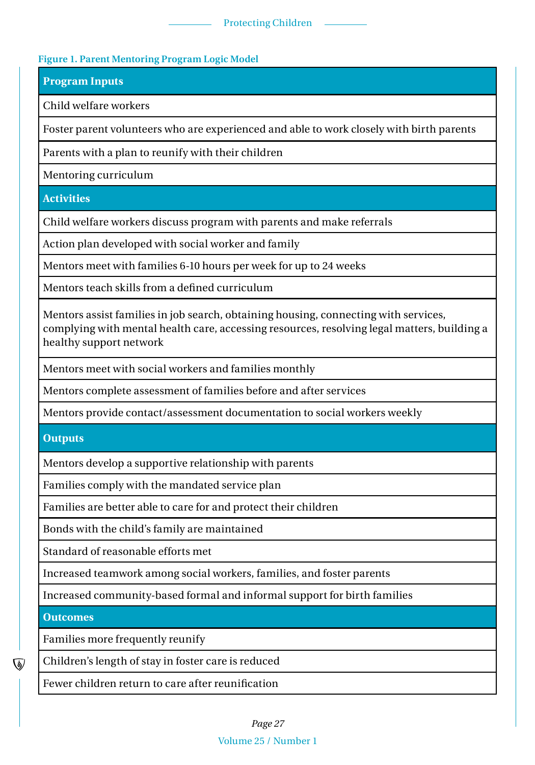#### Protecting Children

#### **Figure 1. Parent Mentoring Program Logic Model**

**Program Inputs**

Child welfare workers

Foster parent volunteers who are experienced and able to work closely with birth parents

Parents with a plan to reunify with their children

Mentoring curriculum

**Activities**

Child welfare workers discuss program with parents and make referrals

Action plan developed with social worker and family

Mentors meet with families 6-10 hours per week for up to 24 weeks

Mentors teach skills from a defined curriculum

Mentors assist families in job search, obtaining housing, connecting with services, complying with mental health care, accessing resources, resolving legal matters, building a healthy support network

Mentors meet with social workers and families monthly

Mentors complete assessment of families before and after services

Mentors provide contact/assessment documentation to social workers weekly

**Outputs**

Mentors develop a supportive relationship with parents

Families comply with the mandated service plan

Families are better able to care for and protect their children

Bonds with the child's family are maintained

Standard of reasonable efforts met

Increased teamwork among social workers, families, and foster parents

Increased community-based formal and informal support for birth families

**Outcomes**

Families more frequently reunify

Children's length of stay in foster care is reduced

Fewer children return to care after reunification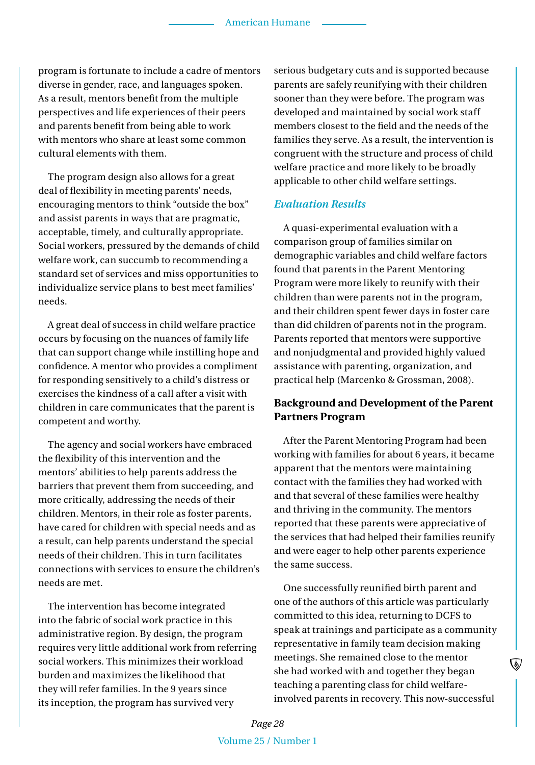program is fortunate to include a cadre of mentors diverse in gender, race, and languages spoken. As a result, mentors benefit from the multiple perspectives and life experiences of their peers and parents benefit from being able to work with mentors who share at least some common cultural elements with them.

The program design also allows for a great deal of flexibility in meeting parents' needs, encouraging mentors to think "outside the box" and assist parents in ways that are pragmatic, acceptable, timely, and culturally appropriate. Social workers, pressured by the demands of child welfare work, can succumb to recommending a standard set of services and miss opportunities to individualize service plans to best meet families' needs.

A great deal of success in child welfare practice occurs by focusing on the nuances of family life that can support change while instilling hope and confidence. A mentor who provides a compliment for responding sensitively to a child's distress or exercises the kindness of a call after a visit with children in care communicates that the parent is competent and worthy.

The agency and social workers have embraced the flexibility of this intervention and the mentors' abilities to help parents address the barriers that prevent them from succeeding, and more critically, addressing the needs of their children. Mentors, in their role as foster parents, have cared for children with special needs and as a result, can help parents understand the special needs of their children. This in turn facilitates connections with services to ensure the children's needs are met.

The intervention has become integrated into the fabric of social work practice in this administrative region. By design, the program requires very little additional work from referring social workers. This minimizes their workload burden and maximizes the likelihood that they will refer families. In the 9 years since its inception, the program has survived very

serious budgetary cuts and is supported because parents are safely reunifying with their children sooner than they were before. The program was developed and maintained by social work staff members closest to the field and the needs of the families they serve. As a result, the intervention is congruent with the structure and process of child welfare practice and more likely to be broadly applicable to other child welfare settings.

#### *Evaluation Results*

A quasi-experimental evaluation with a comparison group of families similar on demographic variables and child welfare factors found that parents in the Parent Mentoring Program were more likely to reunify with their children than were parents not in the program, and their children spent fewer days in foster care than did children of parents not in the program. Parents reported that mentors were supportive and nonjudgmental and provided highly valued assistance with parenting, organization, and practical help (Marcenko & Grossman, 2008).

#### **Background and Development of the Parent Partners Program**

After the Parent Mentoring Program had been working with families for about 6 years, it became apparent that the mentors were maintaining contact with the families they had worked with and that several of these families were healthy and thriving in the community. The mentors reported that these parents were appreciative of the services that had helped their families reunify and were eager to help other parents experience the same success.

One successfully reunified birth parent and one of the authors of this article was particularly committed to this idea, returning to DCFS to speak at trainings and participate as a community representative in family team decision making meetings. She remained close to the mentor she had worked with and together they began teaching a parenting class for child welfareinvolved parents in recovery. This now-successful

V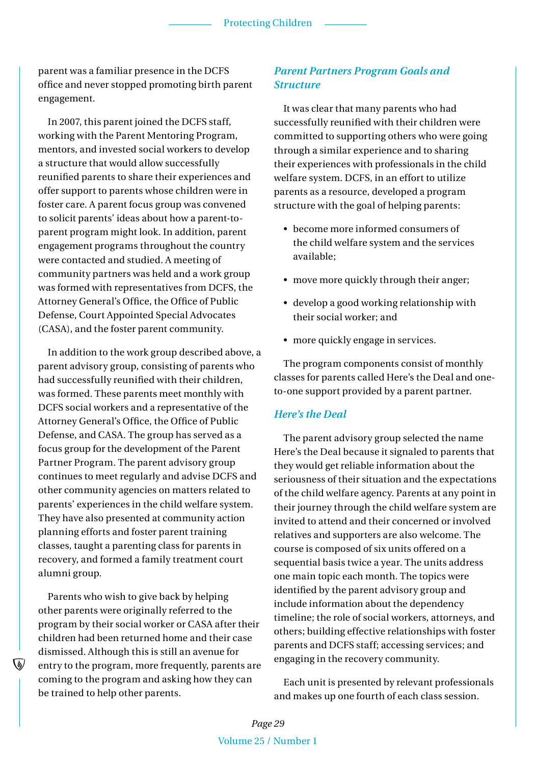parent was a familiar presence in the DCFS office and never stopped promoting birth parent engagement.

In 2007, this parent joined the DCFS staff, working with the Parent Mentoring Program, mentors, and invested social workers to develop a structure that would allow successfully reunified parents to share their experiences and offer support to parents whose children were in foster care. A parent focus group was convened to solicit parents' ideas about how a parent-toparent program might look. In addition, parent engagement programs throughout the country were contacted and studied. A meeting of community partners was held and a work group was formed with representatives from DCFS, the Attorney General's Office, the Office of Public Defense, Court Appointed Special Advocates (CASA), and the foster parent community.

In addition to the work group described above, a parent advisory group, consisting of parents who had successfully reunified with their children, was formed. These parents meet monthly with DCFS social workers and a representative of the Attorney General's Office, the Office of Public Defense, and CASA. The group has served as a focus group for the development of the Parent Partner Program. The parent advisory group continues to meet regularly and advise DCFS and other community agencies on matters related to parents' experiences in the child welfare system. They have also presented at community action planning efforts and foster parent training classes, taught a parenting class for parents in recovery, and formed a family treatment court alumni group.

Parents who wish to give back by helping other parents were originally referred to the program by their social worker or CASA after their children had been returned home and their case dismissed. Although this is still an avenue for entry to the program, more frequently, parents are coming to the program and asking how they can be trained to help other parents.

#### *Parent Partners Program Goals and Structure*

It was clear that many parents who had successfully reunified with their children were committed to supporting others who were going through a similar experience and to sharing their experiences with professionals in the child welfare system. DCFS, in an effort to utilize parents as a resource, developed a program structure with the goal of helping parents:

- become more informed consumers of the child welfare system and the services available;
- move more quickly through their anger;
- develop a good working relationship with their social worker; and
- more quickly engage in services.

The program components consist of monthly classes for parents called Here's the Deal and oneto-one support provided by a parent partner.

#### *Here's the Deal*

The parent advisory group selected the name Here's the Deal because it signaled to parents that they would get reliable information about the seriousness of their situation and the expectations of the child welfare agency. Parents at any point in their journey through the child welfare system are invited to attend and their concerned or involved relatives and supporters are also welcome. The course is composed of six units offered on a sequential basis twice a year. The units address one main topic each month. The topics were identified by the parent advisory group and include information about the dependency timeline; the role of social workers, attorneys, and others; building effective relationships with foster parents and DCFS staff; accessing services; and engaging in the recovery community.

Each unit is presented by relevant professionals and makes up one fourth of each class session.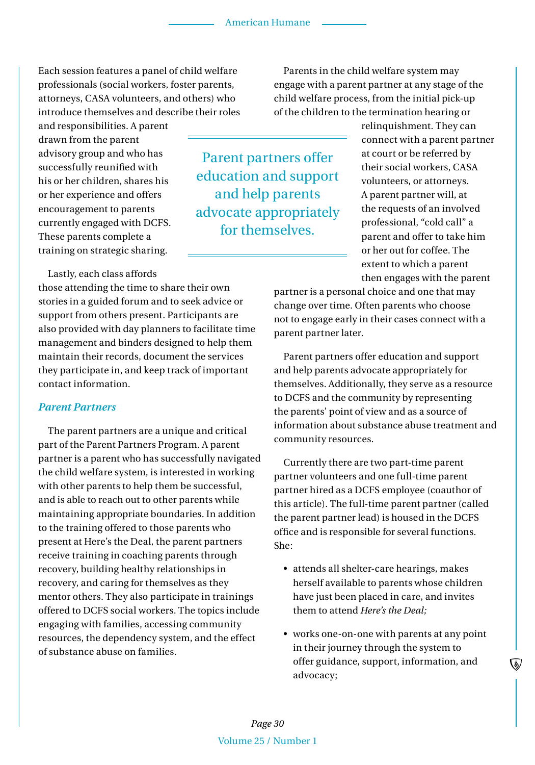Each session features a panel of child welfare professionals (social workers, foster parents, attorneys, CASA volunteers, and others) who introduce themselves and describe their roles

and responsibilities. A parent drawn from the parent advisory group and who has successfully reunified with his or her children, shares his or her experience and offers encouragement to parents currently engaged with DCFS. These parents complete a training on strategic sharing.

Lastly, each class affords

those attending the time to share their own stories in a guided forum and to seek advice or support from others present. Participants are also provided with day planners to facilitate time management and binders designed to help them maintain their records, document the services they participate in, and keep track of important contact information.

#### *Parent Partners*

The parent partners are a unique and critical part of the Parent Partners Program. A parent partner is a parent who has successfully navigated the child welfare system, is interested in working with other parents to help them be successful, and is able to reach out to other parents while maintaining appropriate boundaries. In addition to the training offered to those parents who present at Here's the Deal, the parent partners receive training in coaching parents through recovery, building healthy relationships in recovery, and caring for themselves as they mentor others. They also participate in trainings offered to DCFS social workers. The topics include engaging with families, accessing community resources, the dependency system, and the effect of substance abuse on families.

Parent partners offer education and support and help parents advocate appropriately for themselves.

Parents in the child welfare system may engage with a parent partner at any stage of the child welfare process, from the initial pick-up of the children to the termination hearing or

> relinquishment. They can connect with a parent partner at court or be referred by their social workers, CASA volunteers, or attorneys. A parent partner will, at the requests of an involved professional, "cold call" a parent and offer to take him or her out for coffee. The extent to which a parent then engages with the parent

partner is a personal choice and one that may change over time. Often parents who choose not to engage early in their cases connect with a parent partner later.

Parent partners offer education and support and help parents advocate appropriately for themselves. Additionally, they serve as a resource to DCFS and the community by representing the parents' point of view and as a source of information about substance abuse treatment and community resources.

Currently there are two part-time parent partner volunteers and one full-time parent partner hired as a DCFS employee (coauthor of this article). The full-time parent partner (called the parent partner lead) is housed in the DCFS office and is responsible for several functions. She:

- • attends all shelter-care hearings, makes herself available to parents whose children have just been placed in care, and invites them to attend *Here's the Deal;*
- works one-on-one with parents at any point in their journey through the system to offer guidance, support, information, and advocacy;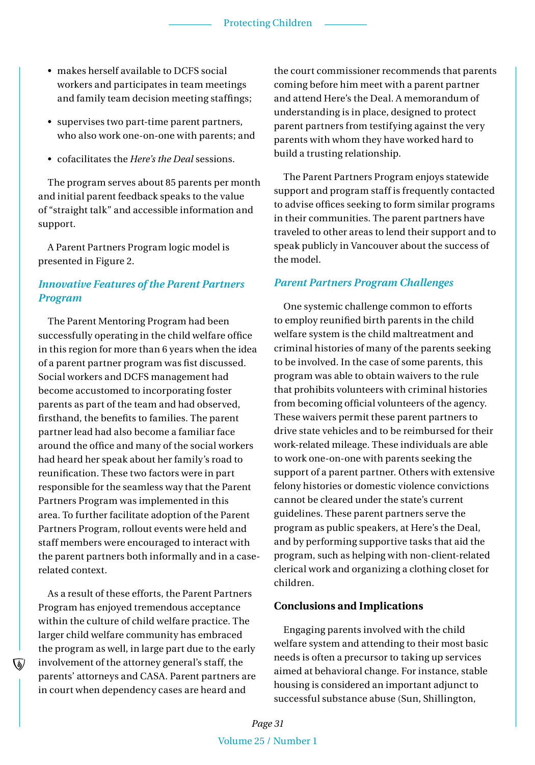- makes herself available to DCFS social workers and participates in team meetings and family team decision meeting staffings;
- supervises two part-time parent partners, who also work one-on-one with parents; and
- • cofacilitates the *Here's the Deal* sessions.

The program serves about 85 parents per month and initial parent feedback speaks to the value of "straight talk" and accessible information and support.

A Parent Partners Program logic model is presented in Figure 2.

#### *Innovative Features of the Parent Partners Program*

The Parent Mentoring Program had been successfully operating in the child welfare office in this region for more than 6 years when the idea of a parent partner program was fist discussed. Social workers and DCFS management had become accustomed to incorporating foster parents as part of the team and had observed, firsthand, the benefits to families. The parent partner lead had also become a familiar face around the office and many of the social workers had heard her speak about her family's road to reunification. These two factors were in part responsible for the seamless way that the Parent Partners Program was implemented in this area. To further facilitate adoption of the Parent Partners Program, rollout events were held and staff members were encouraged to interact with the parent partners both informally and in a caserelated context.

As a result of these efforts, the Parent Partners Program has enjoyed tremendous acceptance within the culture of child welfare practice. The larger child welfare community has embraced the program as well, in large part due to the early involvement of the attorney general's staff, the parents' attorneys and CASA. Parent partners are in court when dependency cases are heard and

the court commissioner recommends that parents coming before him meet with a parent partner and attend Here's the Deal. A memorandum of understanding is in place, designed to protect parent partners from testifying against the very parents with whom they have worked hard to build a trusting relationship.

The Parent Partners Program enjoys statewide support and program staff is frequently contacted to advise offices seeking to form similar programs in their communities. The parent partners have traveled to other areas to lend their support and to speak publicly in Vancouver about the success of the model.

#### *Parent Partners Program Challenges*

One systemic challenge common to efforts to employ reunified birth parents in the child welfare system is the child maltreatment and criminal histories of many of the parents seeking to be involved. In the case of some parents, this program was able to obtain waivers to the rule that prohibits volunteers with criminal histories from becoming official volunteers of the agency. These waivers permit these parent partners to drive state vehicles and to be reimbursed for their work-related mileage. These individuals are able to work one-on-one with parents seeking the support of a parent partner. Others with extensive felony histories or domestic violence convictions cannot be cleared under the state's current guidelines. These parent partners serve the program as public speakers, at Here's the Deal, and by performing supportive tasks that aid the program, such as helping with non-client-related clerical work and organizing a clothing closet for children.

#### **Conclusions and Implications**

Engaging parents involved with the child welfare system and attending to their most basic needs is often a precursor to taking up services aimed at behavioral change. For instance, stable housing is considered an important adjunct to successful substance abuse (Sun, Shillington,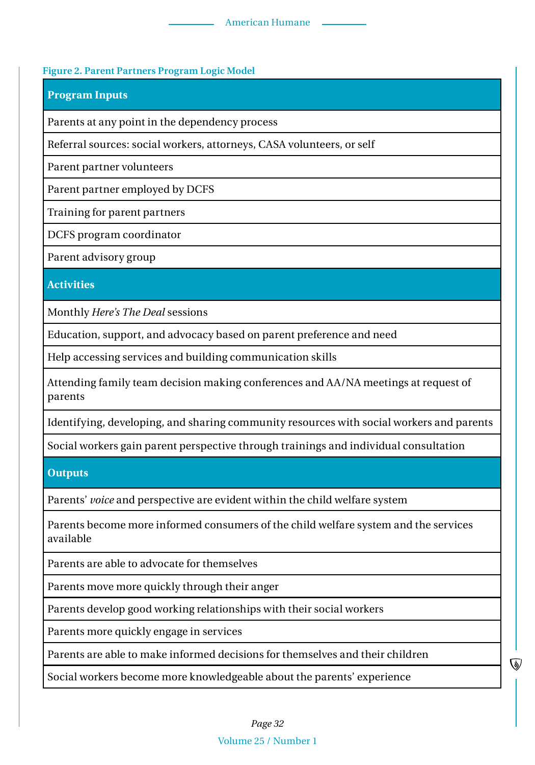#### **Figure 2. Parent Partners Program Logic Model**

#### **Program Inputs**

Parents at any point in the dependency process

Referral sources: social workers, attorneys, CASA volunteers, or self

Parent partner volunteers

Parent partner employed by DCFS

Training for parent partners

DCFS program coordinator

Parent advisory group

**Activities**

Monthly *Here's The Deal* sessions

Education, support, and advocacy based on parent preference and need

Help accessing services and building communication skills

Attending family team decision making conferences and AA/NA meetings at request of parents

Identifying, developing, and sharing community resources with social workers and parents

Social workers gain parent perspective through trainings and individual consultation

#### **Outputs**

Parents' *voice* and perspective are evident within the child welfare system

Parents become more informed consumers of the child welfare system and the services available

Parents are able to advocate for themselves

Parents move more quickly through their anger

Parents develop good working relationships with their social workers

Parents more quickly engage in services

Parents are able to make informed decisions for themselves and their children

Social workers become more knowledgeable about the parents' experience

#### Volume 25 / Number 1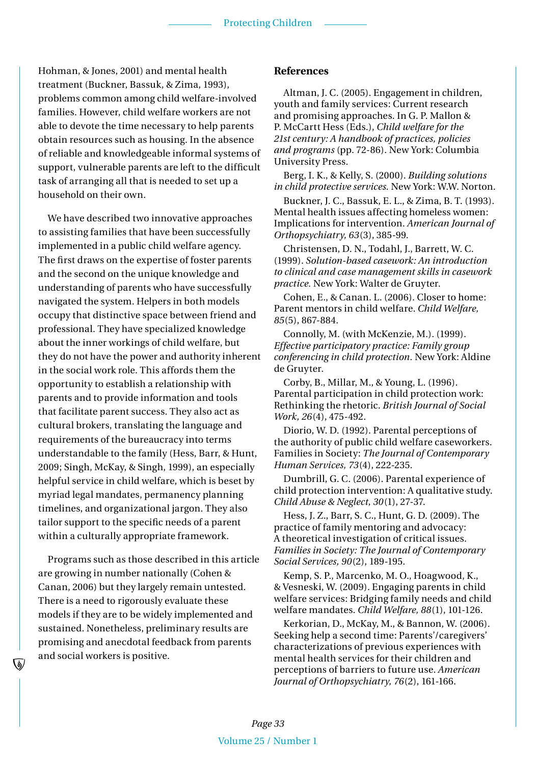#### Protecting Children

Hohman, & Jones, 2001) and mental health treatment (Buckner, Bassuk, & Zima, 1993), problems common among child welfare-involved families. However, child welfare workers are not able to devote the time necessary to help parents obtain resources such as housing. In the absence of reliable and knowledgeable informal systems of support, vulnerable parents are left to the difficult task of arranging all that is needed to set up a household on their own.

We have described two innovative approaches to assisting families that have been successfully implemented in a public child welfare agency. The first draws on the expertise of foster parents and the second on the unique knowledge and understanding of parents who have successfully navigated the system. Helpers in both models occupy that distinctive space between friend and professional. They have specialized knowledge about the inner workings of child welfare, but they do not have the power and authority inherent in the social work role. This affords them the opportunity to establish a relationship with parents and to provide information and tools that facilitate parent success. They also act as cultural brokers, translating the language and requirements of the bureaucracy into terms understandable to the family (Hess, Barr, & Hunt, 2009; Singh, McKay, & Singh, 1999), an especially helpful service in child welfare, which is beset by myriad legal mandates, permanency planning timelines, and organizational jargon. They also tailor support to the specific needs of a parent within a culturally appropriate framework.

Programs such as those described in this article are growing in number nationally (Cohen & Canan, 2006) but they largely remain untested. There is a need to rigorously evaluate these models if they are to be widely implemented and sustained. Nonetheless, preliminary results are promising and anecdotal feedback from parents and social workers is positive.

#### **References**

Altman, J. C. (2005). Engagement in children, youth and family services: Current research and promising approaches. In G. P. Mallon & P. McCartt Hess (Eds.), *Child welfare for the 21st century: A handbook of practices, policies and programs* (pp. 72-86). New York: Columbia University Press.

Berg, I. K., & Kelly, S. (2000). *Building solutions in child protective services.* New York: W.W. Norton.

Buckner, J. C., Bassuk, E. L., & Zima, B. T. (1993). Mental health issues affecting homeless women: Implications for intervention. *American Journal of Orthopsychiatry, 63*(3), 385-99.

Christensen, D. N., Todahl, J., Barrett, W. C. (1999). *Solution-based casework: An introduction to clinical and case management skills in casework practice.* New York: Walter de Gruyter.

Cohen, E., & Canan. L. (2006). Closer to home: Parent mentors in child welfare. *Child Welfare, 85*(5), 867-884.

Connolly, M. (with McKenzie, M.). (1999). *Effective participatory practice: Family group conferencing in child protection.* New York: Aldine de Gruyter.

Corby, B., Millar, M., & Young, L. (1996). Parental participation in child protection work: Rethinking the rhetoric. *British Journal of Social Work, 26*(4), 475-492.

Diorio, W. D. (1992). Parental perceptions of the authority of public child welfare caseworkers. Families in Society: *The Journal of Contemporary Human Services, 73*(4), 222-235.

Dumbrill, G. C. (2006). Parental experience of child protection intervention: A qualitative study. *Child Abuse & Neglect, 30*(1), 27-37.

Hess, J. Z., Barr, S. C., Hunt, G. D. (2009). The practice of family mentoring and advocacy: A theoretical investigation of critical issues. *Families in Society: The Journal of Contemporary Social Services, 90*(2), 189-195.

Kemp, S. P., Marcenko, M. O., Hoagwood, K., & Vesneski, W. (2009). Engaging parents in child welfare services: Bridging family needs and child welfare mandates. *Child Welfare, 88*(1), 101-126.

Kerkorian, D., McKay, M., & Bannon, W. (2006). Seeking help a second time: Parents'/caregivers' characterizations of previous experiences with mental health services for their children and perceptions of barriers to future use. *American Journal of Orthopsychiatry, 76*(2), 161-166.